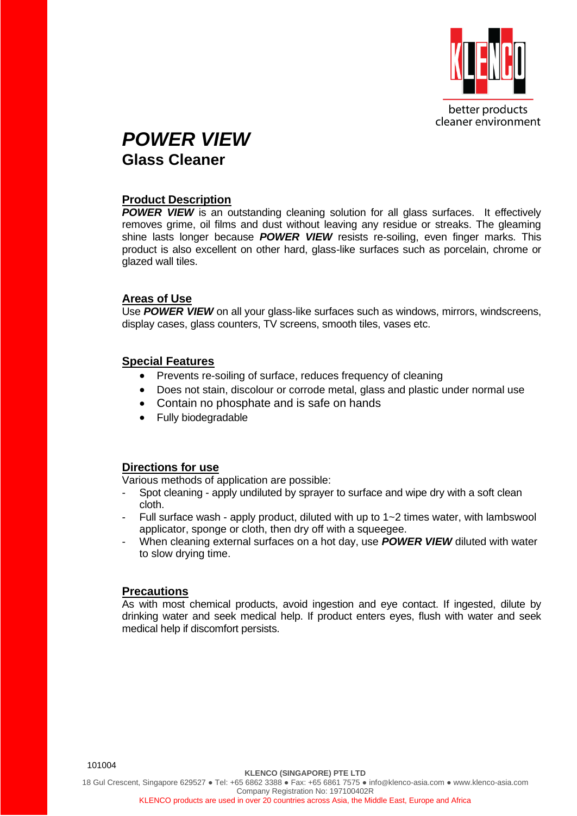

better products cleaner environment

## *POWER VIEW* **Glass Cleaner**

#### **Product Description**

**POWER VIEW** is an outstanding cleaning solution for all glass surfaces. It effectively removes grime, oil films and dust without leaving any residue or streaks. The gleaming shine lasts longer because *POWER VIEW* resists re-soiling, even finger marks. This product is also excellent on other hard, glass-like surfaces such as porcelain, chrome or glazed wall tiles.

#### **Areas of Use**

Use **POWER VIEW** on all your glass-like surfaces such as windows, mirrors, windscreens, display cases, glass counters, TV screens, smooth tiles, vases etc.

#### **Special Features**

- Prevents re-soiling of surface, reduces frequency of cleaning
- Does not stain, discolour or corrode metal, glass and plastic under normal use
- Contain no phosphate and is safe on hands
- Fully biodegradable

### **Directions for use**

Various methods of application are possible:

- Spot cleaning apply undiluted by sprayer to surface and wipe dry with a soft clean cloth.
- Full surface wash apply product, diluted with up to 1~2 times water, with lambswool applicator, sponge or cloth, then dry off with a squeegee.
- When cleaning external surfaces on a hot day, use *POWER VIEW* diluted with water to slow drying time.

#### **Precautions**

As with most chemical products, avoid ingestion and eye contact. If ingested, dilute by drinking water and seek medical help. If product enters eyes, flush with water and seek medical help if discomfort persists.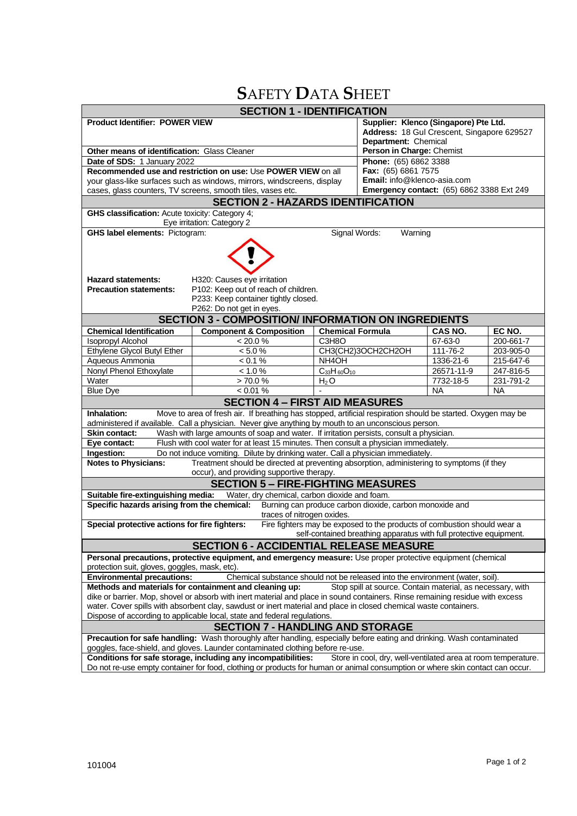# **S**AFETY **D**ATA **S**HEET

| <b>SECTION 1 - IDENTIFICATION</b>                                                                                                                                                                                                                                                                                                          |                                                                                                                               |                         |                                                                                     |                 |           |  |
|--------------------------------------------------------------------------------------------------------------------------------------------------------------------------------------------------------------------------------------------------------------------------------------------------------------------------------------------|-------------------------------------------------------------------------------------------------------------------------------|-------------------------|-------------------------------------------------------------------------------------|-----------------|-----------|--|
| <b>Product Identifier: POWER VIEW</b>                                                                                                                                                                                                                                                                                                      |                                                                                                                               |                         | Supplier: Klenco (Singapore) Pte Ltd.<br>Address: 18 Gul Crescent, Singapore 629527 |                 |           |  |
| <b>Other means of identification: Glass Cleaner</b>                                                                                                                                                                                                                                                                                        |                                                                                                                               |                         | Department: Chemical<br>Person in Charge: Chemist                                   |                 |           |  |
| Date of SDS: 1 January 2022                                                                                                                                                                                                                                                                                                                |                                                                                                                               |                         | Phone: (65) 6862 3388                                                               |                 |           |  |
| Recommended use and restriction on use: Use POWER VIEW on all                                                                                                                                                                                                                                                                              |                                                                                                                               |                         | Fax: (65) 6861 7575                                                                 |                 |           |  |
| your glass-like surfaces such as windows, mirrors, windscreens, display                                                                                                                                                                                                                                                                    |                                                                                                                               |                         | Email: info@klenco-asia.com                                                         |                 |           |  |
| cases, glass counters, TV screens, smooth tiles, vases etc.                                                                                                                                                                                                                                                                                |                                                                                                                               |                         | <b>Emergency contact:</b> (65) 6862 3388 Ext 249                                    |                 |           |  |
| <b>SECTION 2 - HAZARDS IDENTIFICATION</b>                                                                                                                                                                                                                                                                                                  |                                                                                                                               |                         |                                                                                     |                 |           |  |
| GHS classification: Acute toxicity: Category 4;                                                                                                                                                                                                                                                                                            |                                                                                                                               |                         |                                                                                     |                 |           |  |
| Eye irritation: Category 2<br><b>GHS label elements: Pictogram:</b><br>Signal Words:                                                                                                                                                                                                                                                       |                                                                                                                               |                         |                                                                                     |                 |           |  |
| Warning<br><b>Hazard statements:</b><br>H320: Causes eye irritation<br>P102: Keep out of reach of children.<br><b>Precaution statements:</b><br>P233: Keep container tightly closed.<br>P262: Do not get in eyes.                                                                                                                          |                                                                                                                               |                         |                                                                                     |                 |           |  |
|                                                                                                                                                                                                                                                                                                                                            | <b>SECTION 3 - COMPOSITION/ INFORMATION ON INGREDIENTS</b>                                                                    |                         |                                                                                     |                 |           |  |
| <b>Chemical Identification</b>                                                                                                                                                                                                                                                                                                             | <b>Component &amp; Composition</b>                                                                                            | <b>Chemical Formula</b> |                                                                                     | CAS NO.         | EC NO.    |  |
| <b>Isopropyl Alcohol</b>                                                                                                                                                                                                                                                                                                                   | < 20.0 %                                                                                                                      | C3H8O                   |                                                                                     | 67-63-0         | 200-661-7 |  |
| Ethylene Glycol Butyl Ether                                                                                                                                                                                                                                                                                                                | < 5.0 %                                                                                                                       |                         | CH3(CH2)3OCH2CH2OH                                                                  | 111-76-2        | 203-905-0 |  |
| Aqueous Ammonia                                                                                                                                                                                                                                                                                                                            | < 0.1 %                                                                                                                       | NH <sub>4</sub> OH      |                                                                                     | 1336-21-6       | 215-647-6 |  |
| Nonyl Phenol Ethoxylate                                                                                                                                                                                                                                                                                                                    | < 1.0 %                                                                                                                       | $C_{33}H_{60}O_{10}$    |                                                                                     | 26571-11-9      | 247-816-5 |  |
| Water                                                                                                                                                                                                                                                                                                                                      | > 70.0 %                                                                                                                      | $H_2O$                  |                                                                                     | $7732 - 18 - 5$ | 231-791-2 |  |
| <b>Blue Dye</b>                                                                                                                                                                                                                                                                                                                            | $< 0.01 \%$                                                                                                                   |                         |                                                                                     | NA              | <b>NA</b> |  |
|                                                                                                                                                                                                                                                                                                                                            | <b>SECTION 4 - FIRST AID MEASURES</b>                                                                                         |                         |                                                                                     |                 |           |  |
| Move to area of fresh air. If breathing has stopped, artificial respiration should be started. Oxygen may be<br>Inhalation:                                                                                                                                                                                                                |                                                                                                                               |                         |                                                                                     |                 |           |  |
| administered if available. Call a physician. Never give anything by mouth to an unconscious person.                                                                                                                                                                                                                                        |                                                                                                                               |                         |                                                                                     |                 |           |  |
| Wash with large amounts of soap and water. If irritation persists, consult a physician.<br><b>Skin contact:</b>                                                                                                                                                                                                                            |                                                                                                                               |                         |                                                                                     |                 |           |  |
| Flush with cool water for at least 15 minutes. Then consult a physician immediately.<br>Eye contact:                                                                                                                                                                                                                                       |                                                                                                                               |                         |                                                                                     |                 |           |  |
| Ingestion:<br>Do not induce vomiting. Dilute by drinking water. Call a physician immediately.                                                                                                                                                                                                                                              |                                                                                                                               |                         |                                                                                     |                 |           |  |
| <b>Notes to Physicians:</b><br>Treatment should be directed at preventing absorption, administering to symptoms (if they                                                                                                                                                                                                                   |                                                                                                                               |                         |                                                                                     |                 |           |  |
| occur), and providing supportive therapy.                                                                                                                                                                                                                                                                                                  |                                                                                                                               |                         |                                                                                     |                 |           |  |
| <b>SECTION 5 - FIRE-FIGHTING MEASURES</b>                                                                                                                                                                                                                                                                                                  |                                                                                                                               |                         |                                                                                     |                 |           |  |
| Water, dry chemical, carbon dioxide and foam.<br>Suitable fire-extinguishing media:                                                                                                                                                                                                                                                        |                                                                                                                               |                         |                                                                                     |                 |           |  |
| Specific hazards arising from the chemical:<br>Burning can produce carbon dioxide, carbon monoxide and<br>traces of nitrogen oxides.                                                                                                                                                                                                       |                                                                                                                               |                         |                                                                                     |                 |           |  |
| Special protective actions for fire fighters:<br>Fire fighters may be exposed to the products of combustion should wear a<br>self-contained breathing apparatus with full protective equipment.                                                                                                                                            |                                                                                                                               |                         |                                                                                     |                 |           |  |
|                                                                                                                                                                                                                                                                                                                                            | <b>SECTION 6 - ACCIDENTIAL RELEASE MEASURE</b>                                                                                |                         |                                                                                     |                 |           |  |
| Personal precautions, protective equipment, and emergency measure: Use proper protective equipment (chemical<br>protection suit, gloves, goggles, mask, etc).                                                                                                                                                                              |                                                                                                                               |                         |                                                                                     |                 |           |  |
| Chemical substance should not be released into the environment (water, soil).<br><b>Environmental precautions:</b>                                                                                                                                                                                                                         |                                                                                                                               |                         |                                                                                     |                 |           |  |
| Methods and materials for containment and cleaning up:<br>Stop spill at source. Contain material, as necessary, with                                                                                                                                                                                                                       |                                                                                                                               |                         |                                                                                     |                 |           |  |
| dike or barrier. Mop, shovel or absorb with inert material and place in sound containers. Rinse remaining residue with excess<br>water. Cover spills with absorbent clay, sawdust or inert material and place in closed chemical waste containers.                                                                                         |                                                                                                                               |                         |                                                                                     |                 |           |  |
| Dispose of according to applicable local, state and federal regulations.                                                                                                                                                                                                                                                                   |                                                                                                                               |                         |                                                                                     |                 |           |  |
| <b>SECTION 7 - HANDLING AND STORAGE</b>                                                                                                                                                                                                                                                                                                    |                                                                                                                               |                         |                                                                                     |                 |           |  |
| Precaution for safe handling: Wash thoroughly after handling, especially before eating and drinking. Wash contaminated<br>goggles, face-shield, and gloves. Launder contaminated clothing before re-use.<br>Conditions for safe storage, including any incompatibilities:<br>Store in cool, dry, well-ventilated area at room temperature. |                                                                                                                               |                         |                                                                                     |                 |           |  |
|                                                                                                                                                                                                                                                                                                                                            | Do not re-use empty container for food, clothing or products for human or animal consumption or where skin contact can occur. |                         |                                                                                     |                 |           |  |